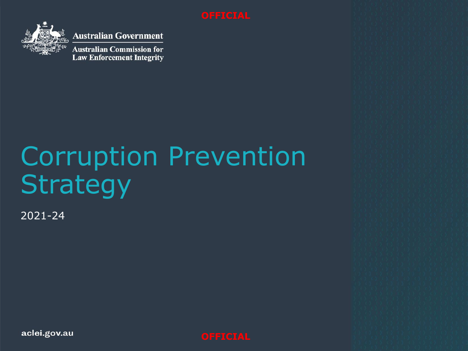

**Australian Government** 

**Australian Commission for Law Enforcement Integrity** 

# Corruption Prevention Strategy

2021-24

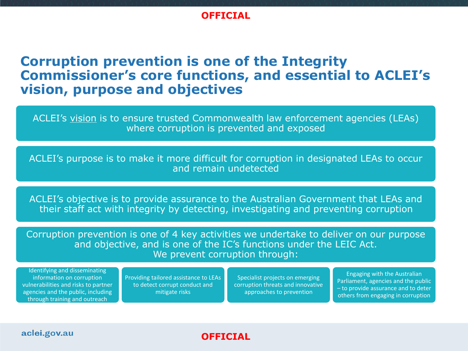# **Corruption prevention is one of the Integrity Commissioner's core functions, and essential to ACLEI's vision, purpose and objectives**

ACLEI's vision is to ensure trusted Commonwealth law enforcement agencies (LEAs) where corruption is prevented and exposed

ACLEI's purpose is to make it more difficult for corruption in designated LEAs to occur and remain undetected

ACLEI's objective is to provide assurance to the Australian Government that LEAs and their staff act with integrity by detecting, investigating and preventing corruption

Corruption prevention is one of 4 key activities we undertake to deliver on our purpose and objective, and is one of the IC's functions under the LEIC Act. We prevent corruption through:

**OFFICIAL**

Identifying and disseminating information on corruption vulnerabilities and risks to partner agencies and the public, including through training and outreach

Providing tailored assistance to LEAs to detect corrupt conduct and mitigate risks

Specialist projects on emerging corruption threats and innovative approaches to prevention

Engaging with the Australian Parliament, agencies and the public – to provide assurance and to deter others from engaging in corruption

#### aclei.gov.au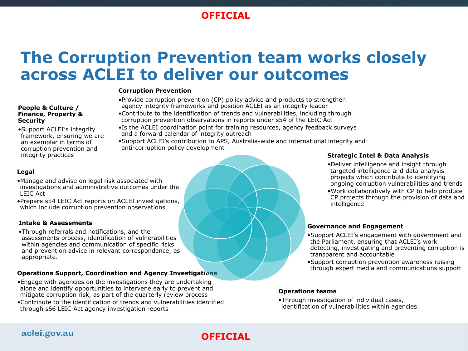# **The Corruption Prevention team works closely across ACLEI to deliver our outcomes**

#### **Corruption Prevention**

- •Provide corruption prevention (CP) policy advice and products to strengthen agency integrity frameworks and position ACLEI as an integrity leader
- •Contribute to the identification of trends and vulnerabilities, including through corruption prevention observations in reports under s54 of the LEIC Act
- •Is the ACLEI coordination point for training resources, agency feedback surveys and a forward calendar of integrity outreach
- •Support ACLEI's contribution to APS, Australia-wide and international integrity and anti-corruption policy development

#### **Legal**

**Security**

- •Manage and advise on legal risk associated with investigations and administrative outcomes under the LEIC Act
- •Prepare s54 LEIC Act reports on ACLEI investigations, which include corruption prevention observations

#### **Intake & Assessments**

**People & Culture / Finance, Property &** 

integrity practices

•Support ACLEI's integrity framework, ensuring we are an exemplar in terms of corruption prevention and

•Through referrals and notifications, and the assessments process, identification of vulnerabilities within agencies and communication of specific risks and prevention advice in relevant correspondence, as appropriate.

#### **Operations Support, Coordination and Agency Investigations**

- •Engage with agencies on the investigations they are undertaking alone and identify opportunities to intervene early to prevent and mitigate corruption risk, as part of the quarterly review process
- •Contribute to the identification of trends and vulnerabilities identified through s66 LEIC Act agency investigation reports

#### **Strategic Intel & Data Analysis**

- •Deliver intelligence and insight through targeted intelligence and data analysis projects which contribute to identifying ongoing corruption vulnerabilities and trends
- •Work collaboratively with CP to help produce CP projects through the provision of data and intelligence

#### **Governance and Engagement**

- •Support ACLEI's engagement with government and the Parliament, ensuring that ACLEI's work detecting, investigating and preventing corruption is transparent and accountable
- •Support corruption prevention awareness raising through expert media and communications support

#### **Operations teams**

•Through investigation of individual cases, identification of vulnerabilities within agencies

#### aclei.gov.au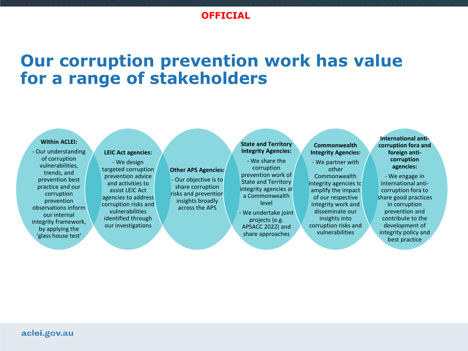# **Our corruption prevention work has value for a range of stakeholders**

#### **Within ACLEI:**

- Our understanding of corruption vulnerabilities, trends, and prevention best practice and our corruption prevention observations inform our internal integrity framework, by applying the 'glass house test'

#### **LEIC Act agencies:**

- We design targeted corruption prevention advice and activities to assist LEIC Act agencies to address corruption risks and vulnerabilities identified through our investigations

#### **Other APS Agencies:**

- Our objective is to share corruption risks and prevention insights broadly across the APS
- We undertake joint projects (e.g. APSACC 2022) and share approaches

**State and Territory Integrity Agencies:** - We share the corruption prevention work of State and Territory integrity agencies at a Commonwealth level

#### **Commonwealth Integrity Agencies:**

- We partner with other Commonwealth integrity agencies to amplify the impact of our respective integrity work and disseminate our insights into corruption risks and vulnerabilities

**International anticorruption fora and foreign anticorruption agencies:**

- We engage in international anticorruption fora to share good practices in corruption prevention and contribute to the development of integrity policy and best practice

#### aclei.gov.au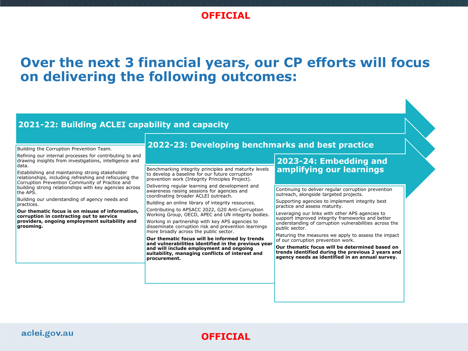# **Over the next 3 financial years, our CP efforts will focus on delivering the following outcomes:**

#### **2021-22: Building ACLEI capability and capacity**

Building the Corruption Prevention Team.

Refining our internal processes for contributing to and drawing insights from investigations, intelligence and data.

Establishing and maintaining strong stakeholder relationships, including refreshing and refocusing the Corruption Prevention Community of Practice and building strong relationships with key agencies across the APS.

Building our understanding of agency needs and practices.

**Our thematic focus is on misuse of information, corruption in contracting out to service providers, ongoing employment suitability and grooming.**

#### **2022-23: Developing benchmarks and best practice**

Benchmarking integrity principles and maturity levels to develop a baseline for our future corruption prevention work (Integrity Principles Project).

Delivering regular learning and development and awareness raising sessions for agencies and coordinating broader ACLEI outreach.

Building an online library of integrity resources.

Contributing to APSACC 2022, G20 Anti-Corruption Working Group, OECD, APEC and UN integrity bodies.

Working in partnership with key APS agencies to disseminate corruption risk and prevention learnings more broadly across the public sector.

**Our thematic focus will be informed by trends and vulnerabilities identified in the previous year and will include employment and ongoing suitability, managing conflicts of interest and procurement.**

#### **2023-24: Embedding and amplifying our learnings**

Continuing to deliver regular corruption prevention outreach, alongside targeted projects.

Supporting agencies to implement integrity best practice and assess maturity.

Leveraging our links with other APS agencies to support improved integrity frameworks and better understanding of corruption vulnerabilities across the public sector.

Maturing the measures we apply to assess the impact of our corruption prevention work.

**Our thematic focus will be determined based on trends identified during the previous 2 years and agency needs as identified in an annual survey.**

#### aclei.gov.au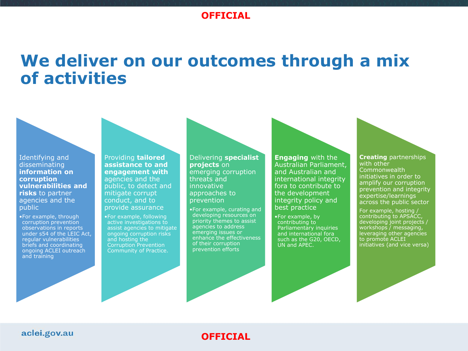# **We deliver on our outcomes through a mix of activities**

Identifying and disseminating **information on corruption vulnerabilities and risks** to partner agencies and the public

•For example, through corruption prevention observations in reports under s54 of the LEIC Act, regular vulnerabilities briefs and coordinating ongoing ACLEI outreach and training

Providing **tailored assistance to and engagement with** agencies and the public, to detect and mitigate corrupt conduct, and to provide assurance

•For example, following active investigations to assist agencies to mitigate ongoing corruption risks and hosting the Corruption Prevention Community of Practice.

Delivering **specialist projects** on emerging corruption threats and innovative approaches to prevention

•For example, curating and developing resources on priority themes to assist agencies to address emerging issues or enhance the effectiveness of their corruption prevention efforts

**Engaging** with the Australian Parliament, and Australian and international integrity fora to contribute to the development integrity policy and best practice

•For example, by contributing to Parliamentary inquiries and international fora such as the G20, OECD, UN and APEC.

**Creating** partnerships with other Commonwealth initiatives in order to amplify our corruption prevention and integrity expertise/learnings across the public sector

For example, hosting / contributing to APSACC, developing joint projects / workshops / messaging, leveraging other agencies to promote ACLEI initiatives (and vice versa)

#### aclei.gov.au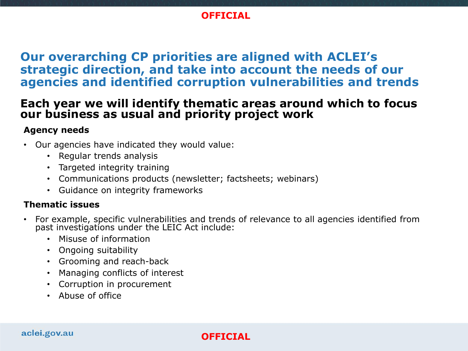# **Our overarching CP priorities are aligned with ACLEI's strategic direction, and take into account the needs of our agencies and identified corruption vulnerabilities and trends**

# **Each year we will identify thematic areas around which to focus our business as usual and priority project work**

### **Agency needs**

- Our agencies have indicated they would value:
	- Regular trends analysis
	- Targeted integrity training
	- Communications products (newsletter; factsheets; webinars)
	- Guidance on integrity frameworks

### **Thematic issues**

- For example, specific vulnerabilities and trends of relevance to all agencies identified from past investigations under the LEIC Act include:
	- Misuse of information
	- Ongoing suitability
	- Grooming and reach-back
	- Managing conflicts of interest
	- Corruption in procurement
	- Abuse of office

#### aclei.gov.au